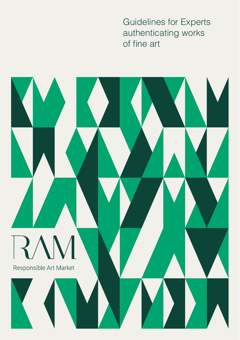Guidelines for Experts authenticating works of fine art

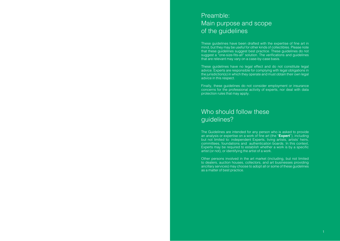# Preamble: Main purpose and scope of the guidelines

These guidelines have been drafted with the expertise of fine art in mind, but they may be useful for other kinds of collectibles. Please note that these guidelines suggest best practice. These guidelines do not suggest a "one-size-fits-all" solution. The verifications and quidelines that are relevant may vary on a case-by-case basis.

These guidelines have no legal effect and do not constitute legal advice. Experts are responsible for complying with legal obligations in the jurisdiction(s) in which they operate and must obtain their own legal advice in this respect.

Finally, these guidelines do not consider employment or insurance concerns for the professional activity of experts, nor deal with data protection rules that may apply.

# Who should follow these guidelines?

The Guidelines are intended for any person who is asked to provide an analysis or expertise on a work of fine art (the "**Expert**"), including but not limited to: independent Experts, living artists, artists' heirs, committees, foundations and authentication boards. In this context, Experts may be required to establish whether a work is by a specific artist (or not), or identifying the artist of a work.

Other persons involved in the art market (including, but not limited to dealers, auction houses, collectors, and art businesses providing ancillary services) may choose to adopt all or some of these guidelines as a matter of best practice.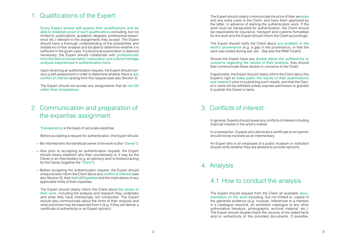# 1. Qualifications of the Expert

Every Expert should self-assess their qualifications and be able to establish proof of such qualifications (including, but not limited to, publications, academic degrees, professional experience etc.) relevant to the assignments they accept. The Expert should have a thorough understanding of the possibilities and limitations of their analysis and be able to determine whether it is sufficient in the given case. If a technical examination is deemed necessary, the Expert should collaborate with professionals from the field of conservation /restoration and cultural heritage analysis experienced in authentication work.

Upon receiving an authentication request, the Expert should conduct a self-assessment in order to determine whether there is any conflict of interest arising from this request (see also Section 3).

The Expert should not accept any assignments that do not fall within their competence.

### 2. Communication and preparation of the expertise assignment

Transparency is the basis of accurate expertise.

Before accepting a request for authentication, the Expert should:

- Be informed who the beneficial owner of the work is (the "Owner");
- Also prior to accepting an authentication request, the Expert should clearly establish who their counterparty is: it may be the Owner or an intermediary (e.g. art advisory and/or brokers) acting for the Owner (together the "Client");
- Before accepting the authentication request, the Expert should unequivocally inform the Client about any conflict of interest (see also Section 3), their field of Expertise and the implications of any applicable limits of their expertise.

The Expert should clearly inform the Client about the scope of their work, including the analysis and research they undertake and what they have intentionally not conducted. The Expert should also communicate about the limits of their analysis and what outcomes may be expected from it (e.g. if they will deliver a certificate of authenticity or an Expert opinion).

The Expert should clearly communicate the price of their services and any extra costs to the Client, and have them approved by the latter, in advance of starting the authentication work. If the work must be transported for authentication, the Client should be responsible for insurance, transport and customs formalities for the work and the Expert should inform the Client accordingly.

The Expert should notify the Client about any problem in the work's provenance (e.g. a gap in the provenance, or that the work was looted during war, etc.. See also the RAM Toolkit).

Should the Expert have any doubts about the authenticity or concerns regarding the results of their analysis, they should then communicate these doubts or concerns to the Client.

If applicable, the Expert should clearly inform the Client about the Expert's right to make public the results of their examinations and research prior to publishing such results, and that the Owner's name will be withheld unless express permission is granted to publish the Owner's name.

### 3. Conflicts of interest

In general, Experts should reveal any conflicts of interest including financial interest in the artist's market.

In a transaction, Experts who delivered a certificate or an opinion should not be involved as an intermediary.

An Expert who is an employee of a public museum or institution should verify whether they are allowed to provide opinions.

### 4. Analysis

### 4.1 How to conduct the analysis

The Expert should request from the Client all available documentation on the work including, but not limited to, copies of the gathered evidence (e.g. invoices, references to a mention in a catalogue raisonné, an exhibition catalogue or any other authoritative literature, photographs, archival material, etc.). The Expert should double-check the veracity of the stated facts and/or authenticity of the provided documents. If possible,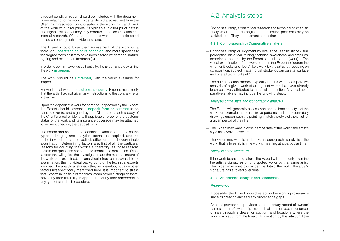a recent condition report should be included with the documen tation relating to the work. Experts should also request from the Client high resolution photographs of the work (front and back of the work with inscriptions if applicable, close-ups of details and signature) so that they may conduct a first examination and internal research. Often, non-authentic works can be detected based on photographic evidence alone.

The Expert should base their assessment of the work on a thorough understanding of its condition, and more specifically the degree to which it may have been altered by damage, natural ageing and restoration treatment(s).

In order to confirm a work's authenticity, the Expert should examine the work in person.

The work should be unframed, with the verso available for inspection.

For works that were created posthumously, Experts must verify that the artist had not given any instructions to the contrary (e.g. in their will).

Upon the deposit of a work for personal inspection by the Expert, the Expert should prepare a deposit form or contract to be handed over to, and signed by, the Client and attach a copy of the Client's proof of identity. If applicable, proof of the customs status of the work and its insurance coverage may be attached to, or mentioned on, the deposit form.

The shape and scale of the technical examination, but also the types of imaging and analytical techniques applied, and the order in which they are applied, differ for almost every single examination. Determining factors are, first of all, the particular reasons for doubting the work's authenticity, as those reasons dictate the questions asked of the technical examination. Other factors that will guide the investigation are the material nature of the work to be examined, the analytical infrastructure available for examination, the individual background of the technical experts involved, the analytical strategy they will develop, but also other factors not specifically mentioned here. It is important to stress that Experts in the field of technical examination distinguish them selves by their flexibility in approach, not by their adherence to any type of standard procedure.

### 4.2.Analysis steps

Connoisseurship, art historical research and technical or scientific analysis are the three angles authentication problems may be tackled from. They complement each other.

### 4.2.1. Connoisseurship / Comparative analysis

- Connoisseurship or judgment by eye is the "sensitivity of visual perception, historical training, technical awareness, and empirical experience needed by the Expert to attribute the [work]". 1 The visual examination of the work enables the Expert to "determine whether it looks and 'feels' like a work by the artist, by focusing on composition, subject matter, brushstroke, colour palette, surface and overall technical skill". 2
- The authentication process typically begins with a comparative analysis of a given work of art against works that have already been positively attributed to the artist in question. A typical com parative analysis may include the following steps:

#### *Analysis of the style and iconographic analysis*

- The Expert will generally assess whether the form and style of the work, for example the brushstroke patterns and the preparatory drawings underneath the painting, match the style of the artist for a given period of their life.
- The Expert may want to consider the date of the work if the artist's style has evolved over time.
- The Expert may want to undertake an iconographic analysis of the work, that is to establish the work's meaning at a particular time.

#### *Analysis of the signature*

— If the work bears a signature, the Expert will commonly examine the artist's signatures on undisputed works by that same artist. The Expert may want to consider the date of the work if the artist's signature has evolved over time.

#### 4.2.2. Art historical analysis and scholarship

#### *Provenance*

If possible, the Expert should establish the work's provenance since its creation and flag any provenance gaps.

An ideal provenance provides a documentary record of owners' names, dates of ownership, methods of transfer, e.g. inheritance, or sale through a dealer or auction; and locations where the work was kept, from the time of its creation by the artist until the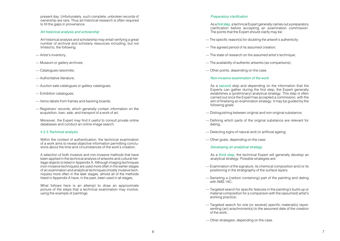present day. Unfortunately, such complete, unbroken records of ownership are rare. Thus art historical research is often required to fill the gaps in provenance.

#### *Art historical analysis and scholarship*

Art historical analysis and scholarship may entail verifying a great number of archival and scholarly resources including, but not limited to, the following:

- Artist's inventory;
- Museum or gallery archives;
- Catalogues raisonnés;
- Authoritative literature;
- Auction sale catalogues or gallery catalogues;
- Exhibition catalogues;
- Verso labels from frames and backing boards;
- Registrars' records, which generally contain information on the acquisition, loan, sale, and transport of a work of art.

Moreover, the Expert may find it useful to consult private online databases and conduct an online image search.

#### 4.2.3.Technical analysis

Within the context of authentication, the technical examination of a work aims to reveal objective information permitting conclusions about the time and circumstances of the work's creation.

A selection of both invasive and non-invasive methods that have been applied in the technical analysis of artworks and cultural heritage objects is listed in Appendix A. Although imaging techniques (non-invasive techniques) are used more often in the earlier stages of an examination and analytical techniques (mostly invasive techniques) more often in the later stages, almost all of the methods listed in Appendix A have, in the past, been used in all stages.

What follows here is an attempt to draw an approximate picture of the steps that a technical examination may involve, using the example of paintings.

#### Preparatory clarification

As a first step, a technical Expert generally carries out a preparatory clarification before accepting an examination commission. The points that the Expert should clarify may be:

- The specific reason(s) for doubting the artwork's authenticity;
- The agreed period of its assumed creation;
- The state of research on the assumed artist's technique;
- The availability of authentic artworks (as comparisons);
- Other points, depending on the case.

#### *Non-invasive examination of the work*

As a second step and depending on the information that the Experts can gather during the first step, the Expert generally establishes a (preliminary) analytical strategy. This step is often carried out once the Expert has accepted a commission, with the aim of finalising an examination strategy. It may be guided by the following goals:

- Distinguishing between original and non-original substance;
- Defining which parts of the original substance are relevant for dating;
- Detecting signs of natural and/or artificial ageing;
- Other goals, depending on the case.
	- *Developing an analytical strategy*

As a third step, the technical Expert will generally develop an analytical strategy. Possible strategies are:

- Examination of the signature: its chemical composition and/or its positioning in the stratigraphy of the surface layers;
- Sampling a (carbon containing) part of the painting and dating with AMS 14C:
- Targeted search for specific features in the painting's build-up or material composition for a comparison with the (assumed) artist's working practice;
- Targeted search for one (or several) specific material(s) representing (an) anachronism(s) to the assumed date of the creation of the work;
- Other strategies, depending on the case.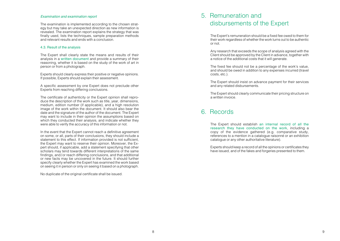#### *Examination and examination report*

The examination is implemented according to the chosen strategy but may take an unexpected direction as new information is revealed. The examination report explains the strategy that was finally used, lists the techniques, sample preparation methods and relevant results and ends with a conclusion.

#### 4.3. Result of the analysis

The Expert shall clearly state the means and results of their analysis in a written document and provide a summary of their reasoning, whether it is based on the study of the work of art in person or from a photograph.

Experts should clearly express their positive or negative opinions. If possible, Experts should explain their assessment.

A specific assessment by one Expert does not preclude other Experts from reaching differing conclusions.

The certificate of authenticity or the Expert opinion shall reproduce the description of the work such as title, year, dimensions, medium, edition number (if applicable), and a high resolution image of the work within the document. It should also bear the date and the signature of the author of the document. The Expert may want to include in their opinion the assumptions based on which they conducted their analysis, and indicate whether they were able to verify the accuracy of this information or not.

In the event that the Expert cannot reach a definitive agreement on some, or all, parts of their conclusions, they should include a statement to this effect. If information provided is not sufficient, the Expert may want to reserve their opinion. Moreover, the Expert should, if applicable, add a statement specifying that other scholars may tend towards different interpretations of the same findings, and/or reach differing conclusions, and that additional or new facts may be uncovered in the future. It should further specify clearly whether the Expert has examined the work based on seeing it in person or only on seeing it based on a photograph.

No duplicate of the original certificate shall be issued.

### 5. Remuneration and disbursements of the Expert

The Expert's remuneration should be a fixed fee owed to them for their work regardless of whether the work turns out to be authentic or not.

Any research that exceeds the scope of analysis agreed with the Client should be approved by the Client in advance, together with a notice of the additional costs that it will generate.

The fixed fee should not be a percentage of the work's value, and should be owed in addition to any expenses incurred (travel costs, etc.).

The Expert should insist on advance payment for their services and any related disbursements.

The Expert should clearly communicate their pricing structure on a written invoice.

### 6. Records

The Expert should establish an internal record of all the research they have conducted on the work, including a copy of the evidence gathered (e.g. comparative study, references to a mention in a catalogue raisonné or an exhibition catalogue or any other authoritative literature).

Experts should keep a record of all the opinions or certificates they have issued, and of the fakes and forgeries presented to them.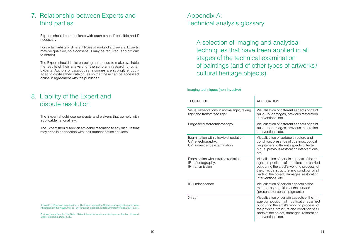### 7. Relationship between Experts and third parties

Experts should communicate with each other, if possible and if necessary.

For certain artists or different types of works of art, several Experts may be qualified, so a consensus may be required (and difficult to obtain).

The Expert should insist on being authorised to make available the results of their analysis for the scholarly research of other Experts. Authors of catalogues raisonnés are strongly encouraged to digitise their catalogues so that these can be accessed online in agreement with the publisher.

### 8. Liability of the Expert and dispute resolution

The Expert should use contracts and waivers that comply with applicable national law.

The Expert should seek an amicable resolution to any dispute that may arise in connection with their authentication services.

Appendix A: Technical analysis glossary

> A selection of imaging and analytical techniques that have been applied in all stages of the technical examination of paintings (and of other types of artworks/ cultural heritage objects)

### Imaging techniques (non-invasive)

| <b>TECHNIQUE</b>                                                                             | <b>APPI ICATION</b>                                                                                                                                                                                                                                        |
|----------------------------------------------------------------------------------------------|------------------------------------------------------------------------------------------------------------------------------------------------------------------------------------------------------------------------------------------------------------|
| Visual observations in normal light, raking<br>light and transmitted light                   | Visualisation of different aspects of paint<br>build-up, damages, previous restoration<br>interventions, etc.                                                                                                                                              |
| Large-field stereomicroscopy                                                                 | Visualisation of different aspects of paint<br>build-up, damages, previous restoration<br>interventions, etc.                                                                                                                                              |
| Examination with ultraviolet radiation:<br>UV reflectography,<br>UV fluorescence examination | Visualisation of surface structure and<br>condition, presence of coatings, optical<br>brighteners, different aspects of tech-<br>nique, previous restoration interventions,<br>etc.                                                                        |
| Examination with infrared radiation:<br>IR-reflectography,<br><b>IR-transmission</b>         | Visualisation of certain aspects of the im-<br>age composition, of modifications carried<br>out during the artist's working process, of<br>the physical structure and condition of all<br>parts of the object, damages, restoration<br>interventions, etc. |
| IR-luminescence                                                                              | Visualisation of certain aspects of the<br>material composition at the surface<br>(presence of certain pigments)                                                                                                                                           |
| X-ray                                                                                        | Visualisation of certain aspects of the im-<br>age composition, of modifications carried<br>out during the artist's working process, of<br>the physical structure and condition of all<br>parts of the object, damages, restoration<br>interventions, etc. |

1.Ronald D. Spencer, Introduction, in The Expert versus the Object – Judging Fakes and False Attributions in the Visual Arts, ed. By Ronald D. Spencer, Oxford University Press, 2004, p. xiii.

2. Anne Laure Bandle, The Sale of Misattributed Artworks and Antiques at Auction, Edward Elgar Publishing, 2016, p. 30.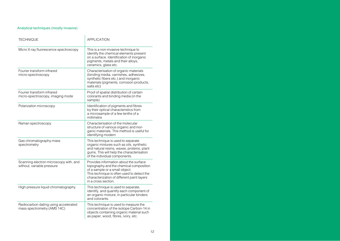### Analytical techniques (mostly invasive)

| TECHNIQUE                                                            | <b>APPLICATION</b>                                                                                                                                                                                                                     |
|----------------------------------------------------------------------|----------------------------------------------------------------------------------------------------------------------------------------------------------------------------------------------------------------------------------------|
| Micro X-ray fluorescence spectroscopy                                | This is a non-invasive technique to<br>identify the chemical elements present<br>on a surface. Identification of inorganic<br>pigments, metals and their alloys,<br>ceramics, glass etc.                                               |
| Fourier transform infrared<br>micro-spectroscopy                     | Characterisation of organic materials<br>(binding media, varnishes, adhesives,<br>synthetic fibers etc.) and inorganic<br>materials (pigments, corrosion products,<br>salts etc)                                                       |
| Fourier transform infrared<br>micro-spectroscopy, imaging mode       | Proof of spatial distribution of certain<br>colorants and binding media (in the<br>sample)                                                                                                                                             |
| Polarization microscopy                                              | Identification of pigments and fibres<br>by their optical characteristics from<br>a microsample of a few tenths of a<br>millimetre                                                                                                     |
| Raman spectroscopy                                                   | Characterisation of the molecular<br>structure of various organic and inor-<br>ganic materials. This method is useful for<br>identifying modern                                                                                        |
| Gas chromatography-mass<br>spectrometry                              | This technique is used to separate<br>organic mixtures such as oils, synthetic<br>and natural resins, waxes, proteins, plant<br>gums. This will help the characterisation<br>of the individual components.                             |
| Scanning electron microscopy with, and<br>without, variable pressure | Provides information about the surface<br>topography and the chemical composition<br>of a sample or a small object.<br>This technique is often used to detect the<br>characterization of different paint layers<br>in a cross section. |
| High pressure liquid chromatography                                  | This technique is used to separate,<br>identify, and quantify each component of<br>an organic mixture, in particular binders<br>and colorants.                                                                                         |
| Radiocarbon dating using accelerated<br>mass spectrometry (AMS 14C)  | This technique is used to measure the<br>concentration of the isotope Carbon-14 in<br>objects containing organic material such<br>as paper, wood, fibres, ivory, etc.                                                                  |